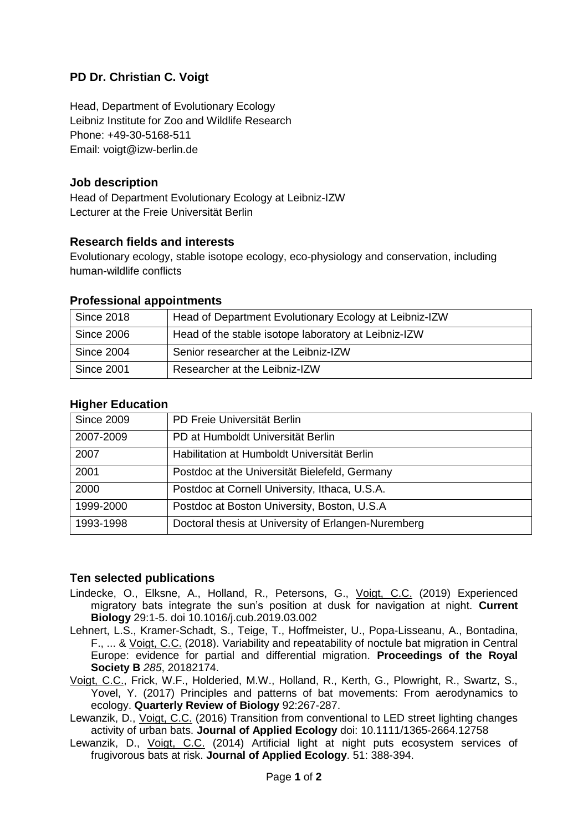# **PD Dr. Christian C. Voigt**

Head, Department of Evolutionary Ecology Leibniz Institute for Zoo and Wildlife Research Phone: +49-30-5168-511 Email: voigt@izw-berlin.de

### **Job description**

Head of Department Evolutionary Ecology at Leibniz-IZW Lecturer at the Freie Universität Berlin

### **Research fields and interests**

Evolutionary ecology, stable isotope ecology, eco-physiology and conservation, including human-wildlife conflicts

#### **Professional appointments**

| <b>Since 2018</b> | Head of Department Evolutionary Ecology at Leibniz-IZW |
|-------------------|--------------------------------------------------------|
| <b>Since 2006</b> | Head of the stable isotope laboratory at Leibniz-IZW   |
| <b>Since 2004</b> | Senior researcher at the Leibniz-IZW                   |
| <b>Since 2001</b> | Researcher at the Leibniz-IZW                          |

## **Higher Education**

| <b>Since 2009</b> | PD Freie Universität Berlin                         |
|-------------------|-----------------------------------------------------|
| 2007-2009         | PD at Humboldt Universität Berlin                   |
| 2007              | Habilitation at Humboldt Universität Berlin         |
| 2001              | Postdoc at the Universität Bielefeld, Germany       |
| 2000              | Postdoc at Cornell University, Ithaca, U.S.A.       |
| 1999-2000         | Postdoc at Boston University, Boston, U.S.A.        |
| 1993-1998         | Doctoral thesis at University of Erlangen-Nuremberg |

#### **Ten selected publications**

- Lindecke, O., Elksne, A., Holland, R., Petersons, G., Voigt, C.C. (2019) Experienced migratory bats integrate the sun's position at dusk for navigation at night. **Current Biology** 29:1-5. doi 10.1016/j.cub.2019.03.002
- Lehnert, L.S., Kramer-Schadt, S., Teige, T., Hoffmeister, U., Popa-Lisseanu, A., Bontadina, F., ... & Voigt, C.C. (2018). Variability and repeatability of noctule bat migration in Central Europe: evidence for partial and differential migration. **Proceedings of the Royal Society B** *285*, 20182174.

Voigt, C.C., Frick, W.F., Holderied, M.W., Holland, R., Kerth, G., Plowright, R., Swartz, S., Yovel, Y. (2017) Principles and patterns of bat movements: From aerodynamics to ecology. **Quarterly Review of Biology** 92:267-287.

Lewanzik, D., Voigt, C.C. (2016) Transition from conventional to LED street lighting changes activity of urban bats. **Journal of Applied Ecology** doi: 10.1111/1365-2664.12758

Lewanzik, D., Voigt, C.C. (2014) Artificial light at night puts ecosystem services of frugivorous bats at risk. **Journal of Applied Ecology**. 51: 388-394.